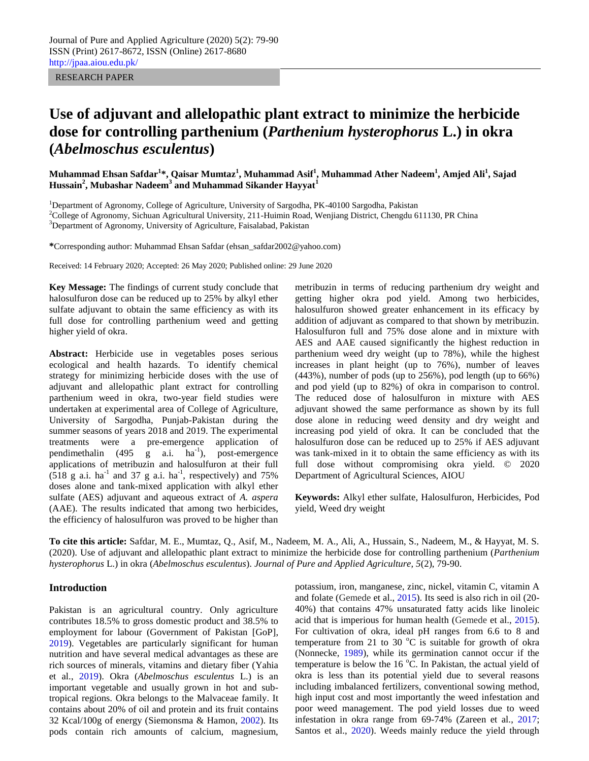RESEARCH PAPER

# **Use of adjuvant and allelopathic plant extract to minimize the herbicide dose for controlling parthenium (***Parthenium hysterophorus* **L.) in okra (***Abelmoschus esculentus***)**

**Muhammad Ehsan Safdar<sup>1</sup> \*, Qaisar Mumtaz<sup>1</sup> , Muhammad Asif<sup>1</sup> , Muhammad Ather Nadeem<sup>1</sup> , Amjed Ali<sup>1</sup> , Sajad Hussain<sup>2</sup> , Mubashar Nadeem<sup>3</sup> and Muhammad Sikander Hayyat<sup>1</sup>**

<sup>1</sup>Department of Agronomy, College of Agriculture, University of Sargodha, PK-40100 Sargodha, Pakistan <sup>2</sup>College of Agronomy, Sichuan Agricultural University, 211-Huimin Road, Wenjiang District, Chengdu 611130, PR China <sup>3</sup>Department of Agronomy, University of Agriculture, Faisalabad, Pakistan

**\***Corresponding author: Muhammad Ehsan Safdar [\(ehsan\\_safdar2002@yahoo.com\)](mailto:ehsan_safdar2002@yahoo.com)

Received: 14 February 2020; Accepted: 26 May 2020; Published online: 29 June 2020

**Key Message:** The findings of current study conclude that halosulfuron dose can be reduced up to 25% by alkyl ether sulfate adjuvant to obtain the same efficiency as with its full dose for controlling parthenium weed and getting higher yield of okra.

**Abstract:** Herbicide use in vegetables poses serious ecological and health hazards. To identify chemical strategy for minimizing herbicide doses with the use of adjuvant and allelopathic plant extract for controlling parthenium weed in okra, two-year field studies were undertaken at experimental area of College of Agriculture, University of Sargodha, Punjab-Pakistan during the summer seasons of years 2018 and 2019. The experimental treatments were a pre-emergence application of pendimethalin  $(495 \text{ g} \text{ a.i.} \text{ ha}^{-1})$ , post-emergence applications of metribuzin and halosulfuron at their full  $(518 \text{ g a. i.} \text{ ha}^{-1} \text{ and } 37 \text{ g a. i.} \text{ ha}^{-1}, \text{ respectively}) \text{ and } 75\%$ doses alone and tank-mixed application with alkyl ether sulfate (AES) adjuvant and aqueous extract of *A. aspera*  (AAE). The results indicated that among two herbicides, the efficiency of halosulfuron was proved to be higher than metribuzin in terms of reducing parthenium dry weight and getting higher okra pod yield. Among two herbicides, halosulfuron showed greater enhancement in its efficacy by addition of adjuvant as compared to that shown by metribuzin. Halosulfuron full and 75% dose alone and in mixture with AES and AAE caused significantly the highest reduction in parthenium weed dry weight (up to 78%), while the highest increases in plant height (up to 76%), number of leaves (443%), number of pods (up to 256%), pod length (up to 66%) and pod yield (up to 82%) of okra in comparison to control. The reduced dose of halosulfuron in mixture with AES adjuvant showed the same performance as shown by its full dose alone in reducing weed density and dry weight and increasing pod yield of okra. It can be concluded that the halosulfuron dose can be reduced up to 25% if AES adjuvant was tank-mixed in it to obtain the same efficiency as with its full dose without compromising okra yield. © 2020 Department of Agricultural Sciences, AIOU

**Keywords:** Alkyl ether sulfate, Halosulfuron, Herbicides, Pod yield, Weed dry weight

**To cite this article:** Safdar, M. E., Mumtaz, Q., Asif, M., Nadeem, M. A., Ali, A., Hussain, S., Nadeem, M., & Hayyat, M. S. (2020). Use of adjuvant and allelopathic plant extract to minimize the herbicide dose for controlling parthenium (*Parthenium hysterophorus* L.) in okra (*Abelmoschus esculentus*). *Journal of Pure and Applied Agriculture, 5*(2), 79-90.

### **Introduction**

Pakistan is an agricultural country. Only agriculture contributes 18.5% to gross domestic product and 38.5% to employment for labour (Government of Pakistan [GoP], 2019). Vegetables are particularly significant for human nutrition and have several medical advantages as these are rich sources of minerals, vitamins and dietary fiber (Yahia et al., 2019). Okra (*Abelmoschus esculentus* L.) is an important vegetable and usually grown in hot and subtropical regions. Okra belongs to the Malvaceae family. It contains about 20% of oil and protein and its fruit contains 32 Kcal/100g of energy (Siemonsma & Hamon, 2002). Its pods contain rich amounts of calcium, magnesium,

potassium, iron, manganese, zinc, nickel, vitamin C, vitamin A and folate [\(Gemede](https://www.cabdirect.org/cabdirect/search/?q=au%3a%22Habtamu+Fekadu+Gemede%22) et al., 2015). Its seed is also rich in oil (20- 40%) that contains 47% unsaturated fatty acids like linoleic acid that is imperious for human health [\(Gemede](https://www.cabdirect.org/cabdirect/search/?q=au%3a%22Habtamu+Fekadu+Gemede%22) et al., 2015). For cultivation of okra, ideal pH ranges from 6.6 to 8 and temperature from 21 to 30  $^{\circ}$ C is suitable for growth of okra (Nonnecke, 1989), while its germination cannot occur if the temperature is below the  $16^{\circ}$ C. In Pakistan, the actual yield of okra is less than its potential yield due to several reasons including imbalanced fertilizers, conventional sowing method, high input cost and most importantly the weed infestation and poor weed management. The pod yield losses due to weed infestation in okra range from 69-74% (Zareen et al., 2017; Santos et al., 2020). Weeds mainly reduce the yield through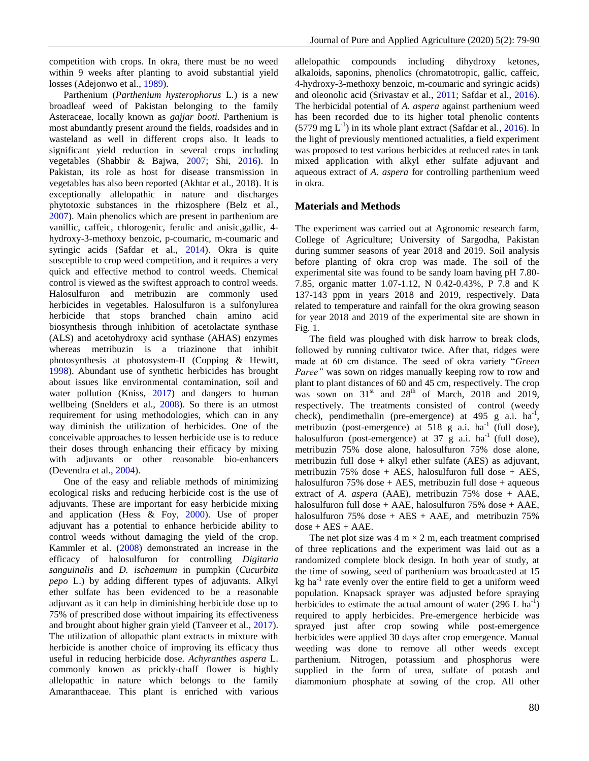competition with crops. In okra, there must be no weed within 9 weeks after planting to avoid substantial yield losses (Adejonwo et al., 1989).

 Parthenium (*Parthenium hysterophorus* L*.*) is a new broadleaf weed of Pakistan belonging to the family Asteraceae, locally known as *gajjar booti.* Parthenium is most abundantly present around the fields, roadsides and in wasteland as well in different crops also. It leads to significant yield reduction in several crops including vegetables (Shabbir & Bajwa, 2007; Shi, 2016). In Pakistan, its role as host for disease transmission in vegetables has also been reported (Akhtar et al., 2018). It is exceptionally allelopathic in nature and discharges phytotoxic substances in the rhizosphere (Belz et al., 2007). Main phenolics which are present in parthenium are vanillic, caffeic, chlorogenic, ferulic and anisic,gallic, 4 hydroxy-3-methoxy benzoic, p-coumaric, m-coumaric and syringic acids (Safdar et al., 2014). Okra is quite susceptible to crop weed competition, and it requires a very quick and effective method to control weeds. Chemical control is viewed as the swiftest approach to control weeds. Halosulfuron and metribuzin are commonly used herbicides in vegetables. Halosulfuron is a sulfonylurea herbicide that stops branched chain amino acid biosynthesis through inhibition of acetolactate synthase (ALS) and acetohydroxy acid synthase (AHAS) enzymes whereas metribuzin is a triazinone that inhibit photosynthesis at photosystem-II (Copping & Hewitt, 1998). Abundant use of synthetic herbicides has brought about issues like environmental contamination, soil and water pollution (Kniss, 2017) and dangers to human wellbeing (Snelders et al., 2008). So there is an utmost requirement for using methodologies, which can in any way diminish the utilization of herbicides. One of the conceivable approaches to lessen herbicide use is to reduce their doses through enhancing their efficacy by mixing with adjuvants or other reasonable bio-enhancers (Devendra et al., 2004).

 One of the easy and reliable methods of minimizing ecological risks and reducing herbicide cost is the use of adjuvants. These are important for easy herbicide mixing and application (Hess & Foy, 2000). Use of proper adjuvant has a potential to enhance herbicide ability to control weeds without damaging the yield of the crop. Kammler et al. (2008) demonstrated an increase in the efficacy of halosulfuron for controlling *Digitaria sanguinalis* and *D. ischaemum* in pumpkin (*Cucurbita pepo* L.) by adding different types of adjuvants. Alkyl ether sulfate has been evidenced to be a reasonable adjuvant as it can help in diminishing herbicide dose up to 75% of prescribed dose without impairing its effectiveness and brought about higher grain yield (Tanveer et al., 2017). The utilization of allopathic plant extracts in mixture with herbicide is another choice of improving its efficacy thus useful in reducing herbicide dose. *Achyranthes aspera* L. commonly known as prickly-chaff flower is highly allelopathic in nature which belongs to the family Amaranthaceae. This plant is enriched with various

allelopathic compounds including dihydroxy ketones, alkaloids, saponins, phenolics (chromatotropic, gallic, caffeic, 4-hydroxy-3-methoxy benzoic, m-coumaric and syringic acids) and oleonolic acid (Srivastav et al., 2011; Safdar et al., 2016). The herbicidal potential of *A. aspera* against parthenium weed has been recorded due to its higher total phenolic contents  $(5779 \text{ mg } L^{-1})$  in its whole plant extract (Safdar et al., 2016). In the light of previously mentioned actualities, a field experiment was proposed to test various herbicides at reduced rates in tank mixed application with alkyl ether sulfate adjuvant and aqueous extract of *A. aspera* for controlling parthenium weed in okra.

## **Materials and Methods**

The experiment was carried out at Agronomic research farm, College of Agriculture; University of Sargodha, Pakistan during summer seasons of year 2018 and 2019. Soil analysis before planting of okra crop was made. The soil of the experimental site was found to be sandy loam having pH 7.80- 7.85, organic matter 1.07-1.12, N 0.42-0.43%, P 7.8 and K 137-143 ppm in years 2018 and 2019, respectively. Data related to temperature and rainfall for the okra growing season for year 2018 and 2019 of the experimental site are shown in Fig. 1.

 The field was ploughed with disk harrow to break clods, followed by running cultivator twice. After that, ridges were made at 60 cm distance. The seed of okra variety "*Green Paree"* was sown on ridges manually keeping row to row and plant to plant distances of 60 and 45 cm, respectively. The crop was sown on  $31<sup>st</sup>$  and  $28<sup>th</sup>$  of March, 2018 and 2019, respectively. The treatments consisted of control (weedy check), pendimethalin (pre-emergence) at  $495$  g a.i. ha<sup>-1</sup>, metribuzin (post-emergence) at 518 g a.i.  $ha^{-1}$  (full dose), halosulfuron (post-emergence) at  $37 \text{ g}$  a.i. ha<sup>-1</sup> (full dose), metribuzin 75% dose alone, halosulfuron 75% dose alone, metribuzin full dose + alkyl ether sulfate (AES) as adjuvant, metribuzin 75% dose + AES, halosulfuron full dose + AES, halosulfuron  $75\%$  dose + AES, metribuzin full dose + aqueous extract of *A. aspera* (AAE), metribuzin 75% dose + AAE, halosulfuron full dose  $+$  AAE, halosulfuron 75% dose  $+$  AAE, halosulfuron  $75\%$  dose + AES + AAE, and metribuzin  $75\%$  $dose + AES + AAE$ .

The net plot size was  $4 \text{ m} \times 2 \text{ m}$ , each treatment comprised of three replications and the experiment was laid out as a randomized complete block design. In both year of study, at the time of sowing, seed of parthenium was broadcasted at 15  $kg$  ha<sup>-1</sup> rate evenly over the entire field to get a uniform weed population. Knapsack sprayer was adjusted before spraying herbicides to estimate the actual amount of water  $(296 \text{ L h}a^{-1})$ required to apply herbicides. Pre-emergence herbicide was sprayed just after crop sowing while post-emergence herbicides were applied 30 days after crop emergence. Manual weeding was done to remove all other weeds except parthenium. Nitrogen, potassium and phosphorus were supplied in the form of urea, sulfate of potash and diammonium phosphate at sowing of the crop. All other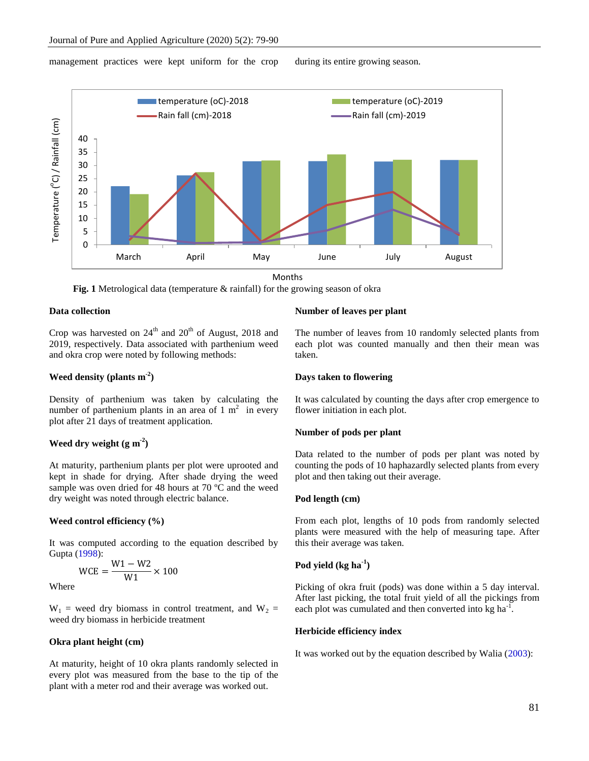#### management practices were kept uniform for the crop during its entire growing season.



Months



# **Data collection**

Crop was harvested on  $24<sup>th</sup>$  and  $20<sup>th</sup>$  of August, 2018 and 2019, respectively. Data associated with parthenium weed and okra crop were noted by following methods:

# **Weed density (plants m -2 )**

Density of parthenium was taken by calculating the number of parthenium plants in an area of  $1 \text{ m}^2$  in every plot after 21 days of treatment application.

# **Weed dry weight**  $(g m<sup>2</sup>)$

At maturity, parthenium plants per plot were uprooted and kept in shade for drying. After shade drying the weed sample was oven dried for 48 hours at 70 °C and the weed dry weight was noted through electric balance.

## **Weed control efficiency (%)**

It was computed according to the equation described by Gupta (1998):

$$
WCE = \frac{W1 - W2}{W1} \times 100
$$

Where

 $W_1$  = weed dry biomass in control treatment, and  $W_2$  = weed dry biomass in herbicide treatment

# **Okra plant height (cm)**

At maturity, height of 10 okra plants randomly selected in every plot was measured from the base to the tip of the plant with a meter rod and their average was worked out.

#### **Number of leaves per plant**

The number of leaves from 10 randomly selected plants from each plot was counted manually and then their mean was taken.

#### **Days taken to flowering**

It was calculated by counting the days after crop emergence to flower initiation in each plot.

### **Number of pods per plant**

Data related to the number of pods per plant was noted by counting the pods of 10 haphazardly selected plants from every plot and then taking out their average.

#### **Pod length (cm)**

From each plot, lengths of 10 pods from randomly selected plants were measured with the help of measuring tape. After this their average was taken.

# **Pod yield (kg ha-1 )**

Picking of okra fruit (pods) was done within a 5 day interval. After last picking, the total fruit yield of all the pickings from each plot was cumulated and then converted into  $kg \text{ ha}^{-1}$ .

#### **Herbicide efficiency index**

It was worked out by the equation described by Walia (2003):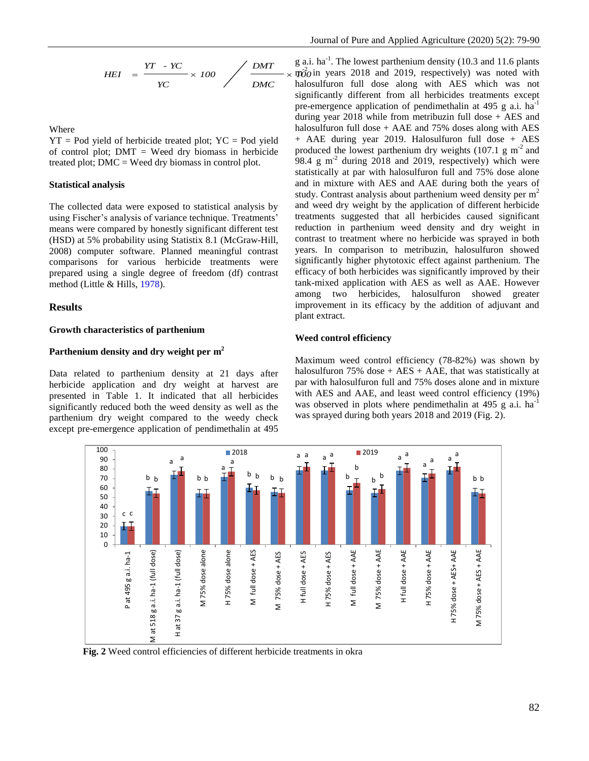$$
HEI = \frac{YT \cdot YC}{YC} \times 100 \quad \bigg/ \frac{DMT}{DMC} \times
$$

Where

 $YT = Pod$  yield of herbicide treated plot;  $YC = Pod$  yield of control plot;  $DMT =$  Weed dry biomass in herbicide treated plot;  $DMC = Weed$  dry biomass in control plot.

## **Statistical analysis**

The collected data were exposed to statistical analysis by using Fischer's analysis of variance technique. Treatments' means were compared by honestly significant different test (HSD) at 5% probability using Statistix 8.1 (McGraw-Hill, 2008) computer software. Planned meaningful contrast comparisons for various herbicide treatments were prepared using a single degree of freedom (df) contrast method (Little & Hills, 1978).

## **Results**

#### **Growth characteristics of parthenium**

# **Parthenium density and dry weight per m 2**

Data related to parthenium density at 21 days after herbicide application and dry weight at harvest are presented in Table 1. It indicated that all herbicides significantly reduced both the weed density as well as the parthenium dry weight compared to the weedy check except pre-emergence application of pendimethalin at 495

 $\overrightarrow{m2}$  in years 2018 and 2019, respectively) was noted with g a.i. ha<sup>-1</sup>. The lowest parthenium density (10.3 and 11.6 plants halosulfuron full dose along with AES which was not significantly different from all herbicides treatments except pre-emergence application of pendimethalin at 495 g a.i. ha<sup>-1</sup> during year 2018 while from metribuzin full dose + AES and halosulfuron full dose  $+$  AAE and 75% doses along with AES + AAE during year 2019. Halosulfuron full dose + AES produced the lowest parthenium dry weights  $(107.1 \text{ g m}^2 \text{ and }$ 98.4  $g$  m<sup>-2</sup> during 2018 and 2019, respectively) which were statistically at par with halosulfuron full and 75% dose alone and in mixture with AES and AAE during both the years of study. Contrast analysis about parthenium weed density per  $m<sup>2</sup>$ and weed dry weight by the application of different herbicide treatments suggested that all herbicides caused significant reduction in parthenium weed density and dry weight in contrast to treatment where no herbicide was sprayed in both years. In comparison to metribuzin, halosulfuron showed significantly higher phytotoxic effect against parthenium. The efficacy of both herbicides was significantly improved by their tank-mixed application with AES as well as AAE. However among two herbicides, halosulfuron showed greater improvement in its efficacy by the addition of adjuvant and plant extract.

# **Weed control efficiency**

Maximum weed control efficiency (78-82%) was shown by halosulfuron  $75\%$  dose + AES + AAE, that was statistically at par with halosulfuron full and 75% doses alone and in mixture with AES and AAE, and least weed control efficiency (19%) was observed in plots where pendimethalin at 495 g a.i.  $ha^{-1}$ was sprayed during both years 2018 and 2019 (Fig. 2).



 **Fig. 2** Weed control efficiencies of different herbicide treatments in okra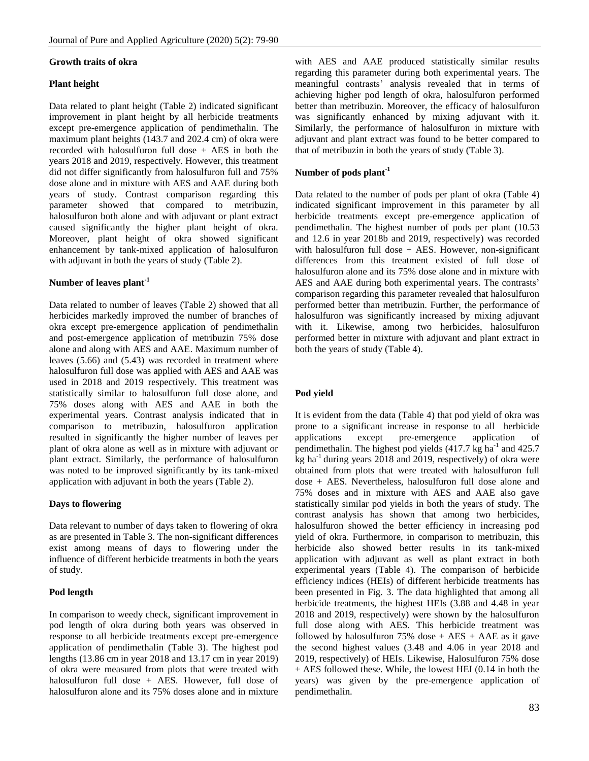## **Growth traits of okra**

# **Plant height**

Data related to plant height (Table 2) indicated significant improvement in plant height by all herbicide treatments except pre-emergence application of pendimethalin. The maximum plant heights (143.7 and 202.4 cm) of okra were recorded with halosulfuron full dose + AES in both the years 2018 and 2019, respectively. However, this treatment did not differ significantly from halosulfuron full and 75% dose alone and in mixture with AES and AAE during both years of study. Contrast comparison regarding this parameter showed that compared to metribuzin, halosulfuron both alone and with adjuvant or plant extract caused significantly the higher plant height of okra. Moreover, plant height of okra showed significant enhancement by tank-mixed application of halosulfuron with adjuvant in both the years of study (Table 2).

# **Number of leaves plant-1**

Data related to number of leaves (Table 2) showed that all herbicides markedly improved the number of branches of okra except pre-emergence application of pendimethalin and post-emergence application of metribuzin 75% dose alone and along with AES and AAE. Maximum number of leaves (5.66) and (5.43) was recorded in treatment where halosulfuron full dose was applied with AES and AAE was used in 2018 and 2019 respectively. This treatment was statistically similar to halosulfuron full dose alone, and 75% doses along with AES and AAE in both the experimental years. Contrast analysis indicated that in comparison to metribuzin, halosulfuron application resulted in significantly the higher number of leaves per plant of okra alone as well as in mixture with adjuvant or plant extract. Similarly, the performance of halosulfuron was noted to be improved significantly by its tank-mixed application with adjuvant in both the years (Table 2).

## **Days to flowering**

Data relevant to number of days taken to flowering of okra as are presented in Table 3. The non-significant differences exist among means of days to flowering under the influence of different herbicide treatments in both the years of study.

# **Pod length**

In comparison to weedy check, significant improvement in pod length of okra during both years was observed in response to all herbicide treatments except pre-emergence application of pendimethalin (Table 3). The highest pod lengths (13.86 cm in year 2018 and 13.17 cm in year 2019) of okra were measured from plots that were treated with halosulfuron full dose + AES. However, full dose of halosulfuron alone and its 75% doses alone and in mixture with AES and AAE produced statistically similar results regarding this parameter during both experimental years. The meaningful contrasts' analysis revealed that in terms of achieving higher pod length of okra, halosulfuron performed better than metribuzin. Moreover, the efficacy of halosulfuron was significantly enhanced by mixing adjuvant with it. Similarly, the performance of halosulfuron in mixture with adjuvant and plant extract was found to be better compared to that of metribuzin in both the years of study (Table 3).

# **Number of pods plant-1**

Data related to the number of pods per plant of okra (Table 4) indicated significant improvement in this parameter by all herbicide treatments except pre-emergence application of pendimethalin. The highest number of pods per plant (10.53 and 12.6 in year 2018b and 2019, respectively) was recorded with halosulfuron full dose  $+$  AES. However, non-significant differences from this treatment existed of full dose of halosulfuron alone and its 75% dose alone and in mixture with AES and AAE during both experimental years. The contrasts' comparison regarding this parameter revealed that halosulfuron performed better than metribuzin. Further, the performance of halosulfuron was significantly increased by mixing adjuvant with it. Likewise, among two herbicides, halosulfuron performed better in mixture with adjuvant and plant extract in both the years of study (Table 4).

# **Pod yield**

It is evident from the data (Table 4) that pod yield of okra was prone to a significant increase in response to all herbicide applications except pre-emergence application of pendimethalin. The highest pod yields (417.7 kg ha<sup>-1</sup> and 425.7  $k$ g ha<sup>-1</sup> during years 2018 and 2019, respectively) of okra were obtained from plots that were treated with halosulfuron full dose + AES. Nevertheless, halosulfuron full dose alone and 75% doses and in mixture with AES and AAE also gave statistically similar pod yields in both the years of study. The contrast analysis has shown that among two herbicides, halosulfuron showed the better efficiency in increasing pod yield of okra. Furthermore, in comparison to metribuzin, this herbicide also showed better results in its tank-mixed application with adjuvant as well as plant extract in both experimental years (Table 4). The comparison of herbicide efficiency indices (HEIs) of different herbicide treatments has been presented in Fig. 3. The data highlighted that among all herbicide treatments, the highest HEIs (3.88 and 4.48 in year 2018 and 2019, respectively) were shown by the halosulfuron full dose along with AES. This herbicide treatment was followed by halosulfuron 75% dose  $+$  AES  $+$  AAE as it gave the second highest values (3.48 and 4.06 in year 2018 and 2019, respectively) of HEIs. Likewise, Halosulfuron 75% dose + AES followed these. While, the lowest HEI (0.14 in both the years) was given by the pre-emergence application of pendimethalin.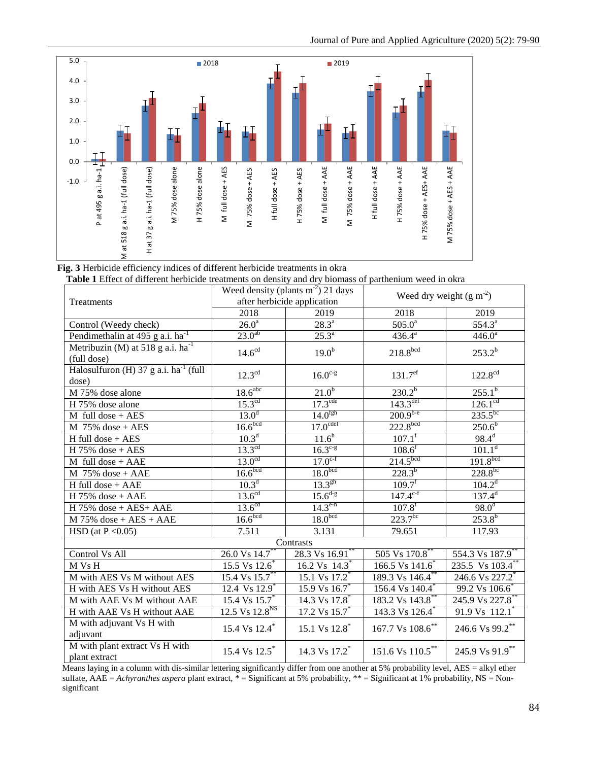

 **Fig. 3** Herbicide efficiency indices of different herbicide treatments in okra

 **Table 1** Effect of different herbicide treatments on density and dry biomass of parthenium weed in okra

| Treatments                                                 | Weed density (plants $m2$ ) 21 days<br>after herbicide application |                             | Weed dry weight $(g m-2)$   |                              |  |
|------------------------------------------------------------|--------------------------------------------------------------------|-----------------------------|-----------------------------|------------------------------|--|
|                                                            | 2018                                                               | 2019                        | 2018                        | 2019                         |  |
| Control (Weedy check)                                      | $26.0^a$                                                           | $28.3^{a}$                  | $505.0^{\circ}$             | $554.3^{a}$                  |  |
| Pendimethalin at 495 g a.i. ha <sup>-1</sup>               | $23.0^{ab}$                                                        | $25.3^{a}$                  | $436.4^{a}$                 | $446.0^{a}$                  |  |
| Metribuzin (M) at 518 g a.i. $ha^{-1}$<br>(full dose)      | 14.6 <sup>cd</sup>                                                 | 19.0 <sup>b</sup>           | 218.8 <sup>bcd</sup>        | $253.2^{b}$                  |  |
| Halosulfuron (H) 37 g a.i. ha <sup>-1</sup> (full<br>dose) | $12.3^{\text{cd}}$                                                 | $16.0^{c-g}$                | 131.7 <sup>ef</sup>         | $122.8^{\rm cd}$             |  |
| M 75% dose alone                                           | 18.6 <sup>abc</sup>                                                | $21.0^{b}$                  | $230.2^{b}$                 | $255.1^{b}$                  |  |
| H 75% dose alone                                           | 15.3 <sup>cd</sup>                                                 | 17.3 <sup>cde</sup>         | $143.3$ <sup>def</sup>      | 126.1 <sup>cd</sup>          |  |
| $M$ full dose + AES                                        | 13.0 <sup>d</sup>                                                  | 14.0 <sup>fgh</sup>         | $200.9^{b-e}$               | $235.5^{bc}$                 |  |
| $M$ 75% dose + AES                                         | 16.6 <sup>bcd</sup>                                                | 17.0 <sup>cdef</sup>        | 222.8 <sup>bcd</sup>        | $250.6^{b}$                  |  |
| $H$ full dose + AES                                        | $10.3^{d}$                                                         | $11.6^{h}$                  | $107.1^f$                   | $98.4^d$                     |  |
| $H$ 75% dose + AES                                         | $13.3^{\text{cd}}$                                                 | $16.3^{c-g}$                | $108.6^f$                   | 101.1 <sup>d</sup>           |  |
| $M$ full dose + AAE                                        | 13.0 <sup>cd</sup>                                                 | $17.0^{c-f}$                | 214.5 <sup>bcd</sup>        | 191.8 <sup>bcd</sup>         |  |
| $M$ 75% dose + AAE                                         | 16.6 <sup>bcd</sup>                                                | 18.0 <sup>bcd</sup>         | $228.3^{b}$                 | $228.8^{bc}$                 |  |
| H full dose + AAE                                          | $10.3^d$                                                           | $13.3^{gh}$                 | $109.7^f$                   | $104.2^d$                    |  |
| $H$ 75% dose + AAE                                         | 13.6 <sup>cd</sup>                                                 | $15.6^{d-g}$                | $147.4^{c-f}$               | $137.4^{d}$                  |  |
| $H$ 75% dose + AES+ AAE                                    | 13.6 <sup>cd</sup>                                                 | $14.3^{\text{e-h}}$         | $107.8^{f}$                 | $98.0^d$                     |  |
| $M$ 75% dose + AES + AAE                                   | 16.6 <sup>bcd</sup>                                                | 18.0 <sup>bcd</sup>         | $223.7^{bc}$                | $253.8^{b}$                  |  |
| HSD (at $P < 0.05$ )                                       | 7.511                                                              | 3.131                       | 79.651                      | 117.93                       |  |
| Contrasts                                                  |                                                                    |                             |                             |                              |  |
| Control Vs All                                             | 26.0 Vs 14.7*                                                      | 28.3 Vs 16.91 <sup>*</sup>  | 505 Vs 170.8*               | 554.3 Vs 187.9 <sup>**</sup> |  |
| M Vs H                                                     | 15.5 Vs 12.6 <sup>*</sup>                                          | 16.2 Vs $14.3$ <sup>*</sup> | 166.5 Vs 141.6 <sup>*</sup> | 235.5 Vs 103.4 <sup>*</sup>  |  |
| M with AES Vs M without AES                                | $15.4 \text{ Vs } 15.7$ **                                         | 15.1 Vs 17.2 <sup>*</sup>   | 189.3 Vs 146.4**            | 246.6 Vs 227.2 <sup>*</sup>  |  |
| H with AES Vs H without AES                                | 12.4 Vs 12.9 <sup>*</sup>                                          | 15.9 Vs 16.7 <sup>*</sup>   | 156.4 Vs 140.4 <sup>*</sup> | 99.2 Vs 106.6                |  |
| M with AAE Vs M without AAE                                | 15.4 Vs 15.7 <sup>*</sup>                                          | 14.3 Vs 17.8 <sup>*</sup>   | 183.2 Vs 143.8 <sup>*</sup> | 245.9 Vs 227.8 <sup>*</sup>  |  |
| H with AAE Vs H without AAE                                | 12.5 Vs 12.8 <sup>NS</sup>                                         | 17.2 Vs 15.7*               | 143.3 Vs 126.4 <sup>*</sup> | 91.9 Vs $112.1$ <sup>*</sup> |  |
| M with adjuvant Vs H with<br>adjuvant                      | 15.4 Vs 12.4*                                                      | 15.1 Vs 12.8 <sup>*</sup>   | 167.7 Vs 108.6**            | 246.6 Vs 99.2**              |  |
| M with plant extract Vs H with<br>plant extract            | 15.4 Vs 12.5 <sup>*</sup>                                          | 14.3 Vs 17.2 <sup>*</sup>   | 151.6 Vs 110.5**            | 245.9 Vs 91.9**              |  |

 Means laying in a column with dis-similar lettering significantly differ from one another at 5% probability level, AES = alkyl ether sulfate, AAE = *Achyranthes aspera* plant extract, \* = Significant at 5% probability, \*\* = Significant at 1% probability, NS = Nonsignificant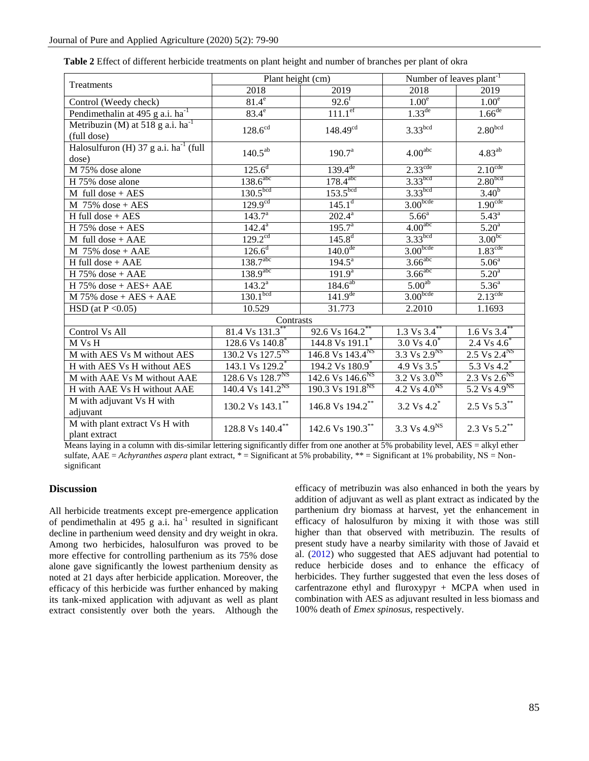|                                                       | Plant height (cm)                     |                                      | Number of leaves plant <sup>-1</sup> |                                     |  |
|-------------------------------------------------------|---------------------------------------|--------------------------------------|--------------------------------------|-------------------------------------|--|
| Treatments                                            | 2018                                  | 2019                                 | 2018                                 | 2019                                |  |
| Control (Weedy check)                                 | $81.4^e$                              | $92.6^f$                             | 1.00 <sup>e</sup>                    | 1.00 <sup>e</sup>                   |  |
| Pendimethalin at 495 g a.i. ha <sup>-1</sup>          | $83.4^e$                              | $111.1^{\text{ef}}$                  | $1.33^{\text{de}}$                   | $1.66$ <sup>de</sup>                |  |
| Metribuzin (M) at 518 g a.i. $ha^{-1}$<br>(full dose) | $128.6^{\text{cd}}$                   | $148.49^{cd}$                        | 3.33 <sup>bcd</sup>                  | 2.80 <sup>bcd</sup>                 |  |
| Halosulfuron (H) 37 g a.i. $ha^{-1}$ (full<br>dose)   | $140.5^{ab}$                          | 190.7 <sup>a</sup>                   | 4.00 <sup>abc</sup>                  | $4.83^{ab}$                         |  |
| M 75% dose alone                                      | $125.6^d$                             | $139.4^{de}$                         | $2.33^{\text{cde}}$                  | $2.10^{\text{cde}}$                 |  |
| H 75% dose alone                                      | $138.6$ <sup>abc</sup>                | $178.4^{abc}$                        | 3.33 <sup>bcd</sup>                  | 2.80 <sup>bcd</sup>                 |  |
| $M$ full dose + AES                                   | 130.5 <sup>bcd</sup>                  | 153.5 <sup>bcd</sup>                 | 3.33 <sup>bcd</sup>                  | $3.40^{b}$                          |  |
| $M$ 75% dose + AES                                    | 129.9 <sup>cd</sup>                   | $145.1^d$                            | 3.00 <sub>bcde</sub>                 | 1.90 <sup>cde</sup>                 |  |
| $H$ full dose + AES                                   | $143.7^{a}$                           | $202.4^{\rm a}$                      | 5.66 <sup>a</sup>                    | $5.43^{a}$                          |  |
| $H 75\%$ dose + AES                                   | $142.4^{\circ}$                       | $195.7^{a}$                          | 4.00 <sup>abc</sup>                  | 5.20 <sup>a</sup>                   |  |
| $M$ full dose + AAE                                   | $129.2^{\text{cd}}$                   | $145.8^{d}$                          | 3.33 <sup>bcd</sup>                  | 3.00 <sup>bc</sup>                  |  |
| $M$ 75% dose + AAE                                    | $126.6^d$                             | $140.0^{de}$                         | 3.00 <sub>bcde</sub>                 | 1.83 <sup>cde</sup>                 |  |
| H full dose + AAE                                     | 138.7 <sup>abc</sup>                  | $194.5^{\circ}$                      | $3.66$ <sup>abc</sup>                | 5.06 <sup>a</sup>                   |  |
| $H 75%$ dose + AAE                                    | $1\overline{38.9}^{abc}$              | 191.9 <sup>a</sup>                   | $3.66$ <sup>abc</sup>                | 5.20 <sup>a</sup>                   |  |
| $H$ 75% dose + AES+ AAE                               | $143.2^{\circ}$                       | $184.6^{ab}$                         | 5.00 <sup>ab</sup>                   | 5.36 <sup>a</sup>                   |  |
| $M$ 75% dose + AES + AAE                              | 130.1 <sup>bcd</sup>                  | $141.9^{de}$                         | 3.00 <sub>bcde</sub>                 | $2.13^{\text{cde}}$                 |  |
| HSD (at $P < 0.05$ )                                  | 10.529                                | 31.773                               | 2.2010                               | 1.1693                              |  |
| Contrasts                                             |                                       |                                      |                                      |                                     |  |
| Control Vs All                                        | 81.4 $\sqrt{8131.3}^{**}$             | 92.6 Vs 164.2**                      | $1.3 \text{ Vs } 3.4$                | $1.6 \text{ Vs } 3.4$ <sup>**</sup> |  |
| M Vs H                                                | 128.6 Vs 140.8 <sup>*</sup>           | 144.8 Vs 191.1 <sup>*</sup>          | 3.0 Vs $4.0^*$                       | 2.4 Vs $4.\overline{6}^*$           |  |
| M with AES Vs M without AES                           | 130.2 Vs 127.5 <sup>NS</sup>          | 146.8 Vs $143.4^{NS}$                | $3.3 \text{ Vs } 2.9^{\text{NS}}$    | $2.5 \text{ Vs } 2.4^{\text{NS}}$   |  |
| H with AES Vs H without AES                           | 143.1 Vs 129.2 <sup>*</sup>           | 194.2 Vs 180.9                       | 4.9 $\sqrt{83.5}$                    | $5.3 \text{ Vs } 4.2^*$             |  |
| M with AAE Vs M without AAE                           | 128.6 Vs 128.7 <sup>NS</sup>          | $142.6 \text{ Vs} 146.6^{\text{NS}}$ | $3.2 \text{ Vs } 3.0^{\text{NS}}$    | $2.3 \text{ Vs } 2.6^{\text{NS}}$   |  |
| H with AAE Vs H without AAE                           | $140.4 \text{ Vs } 141.2^{\text{NS}}$ | $190.3 \overline{Vs} 191.8^{NS}$     | $4.2 \text{ Vs } 4.0^{\text{NS}}$    | $5.2 \text{ Vs } 4.9^{\text{NS}}$   |  |
| M with adjuvant Vs H with<br>adjuvant                 | 130.2 Vs 143.1**                      | 146.8 Vs 194.2**                     | 3.2 Vs 4.2 <sup>*</sup>              | 2.5 Vs 5.3**                        |  |
| M with plant extract Vs H with<br>plant extract       | 128.8 Vs 140.4 $^{\ast\ast}$          | 142.6 Vs 190.3**                     | 3.3 Vs $4.9^{NS}$                    | 2.3 Vs $5.2$ <sup>**</sup>          |  |

Table 2 Effect of different herbicide treatments on plant height and number of branches per plant of okra

Means laying in a column with dis-similar lettering significantly differ from one another at 5% probability level,  $\overline{AES}$  = alkyl ether sulfate, AAE = Achyranthes aspera plant extract,  $*$  = Significant at 5% probability,  $**$  = Significant at 1% probability, NS = Nonsignificant

# **Discussion**

All herbicide treatments except pre-emergence application of pendimethalin at 495 g  $a.i.$  ha<sup>-1</sup> resulted in significant decline in parthenium weed density and dry weight in okra. Among two herbicides, halosulfuron was proved to be more effective for controlling parthenium as its 75% dose alone gave significantly the lowest parthenium density as noted at 21 days after herbicide application. Moreover, the efficacy of this herbicide was further enhanced by making its tank-mixed application with adjuvant as well as plant extract consistently over both the years. Although the

efficacy of metribuzin was also enhanced in both the years by addition of adjuvant as well as plant extract as indicated by the parthenium dry biomass at harvest, yet the enhancement in efficacy of halosulfuron by mixing it with those was still higher than that observed with metribuzin. The results of present study have a nearby similarity with those of Javaid et al. (2012) who suggested that AES adjuvant had potential to reduce herbicide doses and to enhance the efficacy of herbicides. They further suggested that even the less doses of carfentrazone ethyl and fluroxypyr + MCPA when used in combination with AES as adjuvant resulted in less biomass and 100% death of *Emex spinosus*, respectively.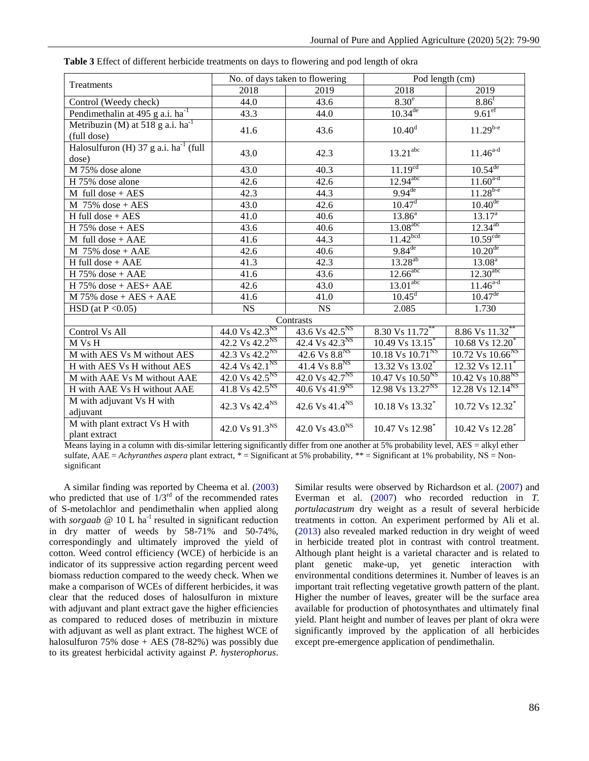| Treatments                                            | No. of days taken to flowering      |                                     | Pod length (cm)                       |                                       |
|-------------------------------------------------------|-------------------------------------|-------------------------------------|---------------------------------------|---------------------------------------|
|                                                       | 2018                                | 2019                                | 2018                                  | 2019                                  |
| Control (Weedy check)                                 | 44.0                                | 43.6                                | $8.30^{\circ}$                        | 8.86 <sup>f</sup>                     |
| Pendimethalin at $495$ g a.i. ha <sup>-1</sup>        | 43.3                                | 44.0                                | $10.34^{de}$                          | $9.61$ <sup>ef</sup>                  |
| Metribuzin (M) at 518 g a.i. $ha^{-1}$<br>(full dose) | 41.6                                | 43.6                                | $10.40^d$                             | $11.29^{b-e}$                         |
| Halosulfuron (H) 37 g a.i. $ha^{-1}$ (full<br>dose)   | 43.0                                | 42.3                                | $13.21$ <sup>abc</sup>                | $11.46^{a-d}$                         |
| M 75% dose alone                                      | 43.0                                | 40.3                                | 11.19 <sup>cd</sup>                   | $10.54^{de}$                          |
| H 75% dose alone                                      | 42.6                                | 42.6                                | $12.94$ <sup>abc</sup>                | $11.60^{a-d}$                         |
| $M$ full dose + AES                                   | 42.3                                | 44.3                                | $9.94^{de}$                           | $11.28^{b-e}$                         |
| $M$ 75% dose + AES                                    | 43.0                                | 42.6                                | 10.47 <sup>d</sup>                    | $10.40^{de}$                          |
| $H$ full dose + AES                                   | 41.0                                | 40.6                                | $13.86^{a}$                           | $13.\overline{17^a}$                  |
| H $75\%$ dose + AES                                   | 43.6                                | 40.6                                | $13.08$ <sup>abc</sup>                | $12.34^{ab}$                          |
| $M$ full dose + AAE                                   | 41.6                                | 44.3                                | 11.42 <sup>bcd</sup>                  | 10.59 <sup>cde</sup>                  |
| $M$ 75% dose + AAE                                    | 42.6                                | 40.6                                | $9.84$ <sup>de</sup>                  | $10.20^{de}$                          |
| $H$ full dose + AAE                                   | 41.3                                | 42.3                                | $13.28^{ab}$                          | $13.08^{a}$                           |
| $H 75%$ dose + AAE                                    | 41.6                                | 43.6                                | $12.66$ <sup>abc</sup>                | 12.30 <sup>abc</sup>                  |
| $H$ 75% dose + AES+ AAE                               | 42.6                                | 43.0                                | $13.01$ <sup>abc</sup>                | $11.46^{a-d}$                         |
| $M$ 75% dose + AES + AAE                              | 41.6                                | 41.0                                | $10.45^d$                             | $10.47^{\text{de}}$                   |
| HSD (at $P \le 0.05$ )                                | <b>NS</b>                           | <b>NS</b>                           | 2.085                                 | 1.730                                 |
|                                                       |                                     | Contrasts                           |                                       |                                       |
| Control Vs All                                        | 44.0 Vs 42.3 <sup>NS</sup>          | 43.6 Vs $42.5^{NS}$                 | 8.30 Vs 11.72**                       | 8.86 Vs 11.32*                        |
| M Vs H                                                | 42.2 Vs $42.2^{NS}$                 | 42.4 Vs $42.3^{NS}$                 | $10.49 \text{ Vs } 13.15$             | $10.68 \text{ V}$ s 12.20             |
| M with AES Vs M without AES                           | 42.3 Vs $42.2^{NS}$                 | 42.6 Vs $8.8^{NS}$                  | $10.18$ Vs $10.71$ <sup>NS</sup>      | $10.72$ Vs $10.66$ <sup>NS</sup>      |
| H with AES Vs H without AES                           | $42.4 \text{ Vs } 42.1^{\text{NS}}$ | $41.4 \text{ Vs } 8.8^{\text{NS}}$  | 13.32 Vs 13.02 <sup>*</sup>           | 12.32 Vs 12.11                        |
| M with AAE Vs M without AAE                           | $42.0 \text{ Vs } 42.5^{\text{NS}}$ | 42.0 Vs 42.7 <sup>NS</sup>          | $10.47 \text{ Vs } 10.50^{\text{NS}}$ | $10.42 \text{ Vs } 10.88^{\text{NS}}$ |
| H with AAE Vs H without AAE                           | $41.8 \text{ Vs } 42.5^{\text{NS}}$ | $40.6 \text{ Vs } 41.9^{\text{NS}}$ | 12.98 Vs $13.27^{NS}$                 | $12.28 \text{ Vs } 12.14^{\text{NS}}$ |
| M with adjuvant Vs H with<br>adjuvant                 | 42.3 Vs 42.4 <sup>NS</sup>          | 42.6 Vs 41.4 <sup>NS</sup>          | 10.18 Vs 13.32 <sup>*</sup>           | 10.72 Vs 12.32 <sup>*</sup>           |
| M with plant extract Vs H with<br>plant extract       | 42.0 Vs 91.3 <sup>NS</sup>          | 42.0 Vs 43.0 <sup>NS</sup>          | 10.47 Vs 12.98*                       | 10.42 Vs 12.28 <sup>*</sup>           |

Table 3 Effect of different herbicide treatments on days to flowering and pod length of okra

Means laying in a column with dis-similar lettering significantly differ from one another at 5% probability level, AES = alkyl ether sulfate, AAE = Achyranthes aspera plant extract,  $*$  = Significant at 5% probability,  $**$  = Significant at 1% probability, NS = Nonsignificant

A similar finding was reported by Cheema et al. (2003) who predicted that use of  $1/3^{rd}$  of the recommended rates of S-metolachlor and pendimethalin when applied along with *sorgaab*  $@ 10$  L ha<sup>-1</sup> resulted in significant reduction in dry matter of weeds by 58-71% and 50-74%, correspondingly and ultimately improved the yield of cotton. Weed control efficiency (WCE) of herbicide is an indicator of its suppressive action regarding percent weed biomass reduction compared to the weedy check. When we make a comparison of WCEs of different herbicides, it was clear that the reduced doses of halosulfuron in mixture with adjuvant and plant extract gave the higher efficiencies as compared to reduced doses of metribuzin in mixture with adjuvant as well as plant extract. The highest WCE of halosulfuron  $75\%$  dose + AES  $(78-82\%)$  was possibly due to its greatest herbicidal activity against P. hysterophorus.

Similar results were observed by Richardson et al. (2007) and Everman et al.  $(2007)$  who recorded reduction in  $T$ . portulacastrum dry weight as a result of several herbicide treatments in cotton. An experiment performed by Ali et al. (2013) also revealed marked reduction in dry weight of weed in herbicide treated plot in contrast with control treatment. Although plant height is a varietal character and is related to plant genetic make-up, yet genetic interaction with environmental conditions determines it. Number of leaves is an important trait reflecting vegetative growth pattern of the plant. Higher the number of leaves, greater will be the surface area available for production of photosynthates and ultimately final yield. Plant height and number of leaves per plant of okra were significantly improved by the application of all herbicides except pre-emergence application of pendimethalin.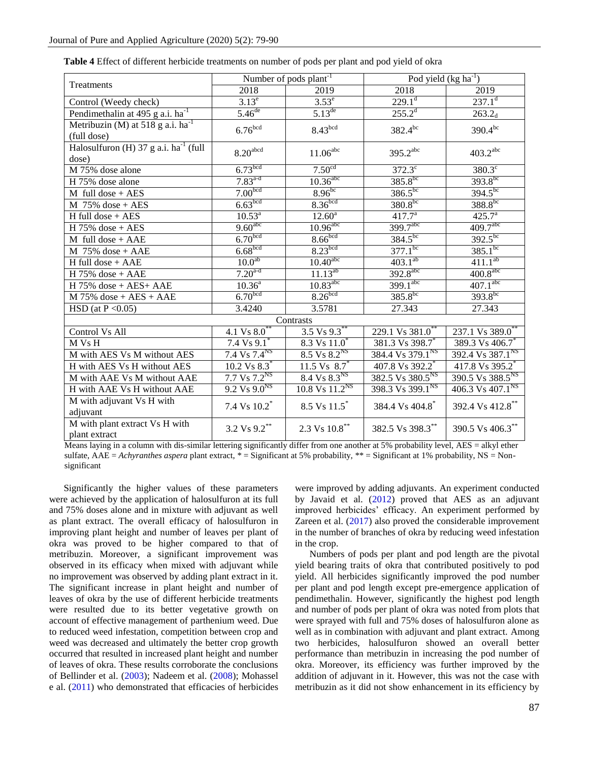| Treatments                                                                | Number of pods plant <sup>-1</sup>  |                                     | Pod yield $(kg ha^{-1})$                   |                              |  |
|---------------------------------------------------------------------------|-------------------------------------|-------------------------------------|--------------------------------------------|------------------------------|--|
|                                                                           | 2018                                | 2019                                | 2018                                       | 2019                         |  |
| Control (Weedy check)                                                     | $3.13^e$                            | $3.53^e$                            | $229.1^d$                                  | $237.1^d$                    |  |
| Pendimethalin at 495 g a.i. ha <sup>-1</sup>                              | $5.46^{\text{de}}$                  | $5.13^{de}$                         | $255.2^d$                                  | $263.2_d$                    |  |
| Metribuzin $\overline{(M)}$ at 518 g a.i. ha <sup>-1</sup><br>(full dose) | 6.76 <sup>bcd</sup>                 | 8.43 <sup>bcd</sup>                 | $382.4^{bc}$                               | $390.4^{bc}$                 |  |
| Halosulfuron $\overline{H}$ 37 g a.i. ha <sup>-1</sup> (full<br>dose)     | $8.20^{\rm abcd}$                   | $11.06^{\rm abc}$                   | 395.2 <sup>abc</sup>                       | $403.2$ <sup>abc</sup>       |  |
| M 75% dose alone                                                          | 6.73 <sup>bcd</sup>                 | 7.50 <sup>cd</sup>                  | $372.3^\circ$                              | $380.3^\circ$                |  |
| H 75% dose alone                                                          | $7.83^{a-d}$                        | $10.36$ <sup>abc</sup>              | $385.8^{bc}$                               | $393.8^{bc}$                 |  |
| $M$ full dose + AES                                                       | 7.00 <sup>bcd</sup>                 | $8.96^{bc}$                         | $386.5^{bc}$                               | $394.5^{bc}$                 |  |
| $M$ 75% dose + AES                                                        | 6.63 <sup>bcd</sup>                 | 8.36 <sup>bcd</sup>                 | $380.8^{bc}$                               | $388.8^{bc}$                 |  |
| $H$ full dose + AES                                                       | $10.\overline{53}^{\text{a}}$       | $12.60^{\circ}$                     | $417.7^a$                                  | $425.7^{a}$                  |  |
| $H 75%$ dose + AES                                                        | 9.60 <sup>abc</sup>                 | $10.96$ <sup>abc</sup>              | 399.7abc                                   | 409.7 <sup>abc</sup>         |  |
| $M$ full dose + AAE                                                       | 6.70 <sub>bcd</sub>                 | 8.66 <sup>bcd</sup>                 | $384.5^{bc}$                               | $392.5^{bc}$                 |  |
| $M$ 75% dose + AAE                                                        | 6.68 <sup>bcd</sup>                 | 8.23 <sup>bcd</sup>                 | $377.1^{bc}$                               | $385.1^{bc}$                 |  |
| $H$ full dose + AAE                                                       | 10.0 <sup>ab</sup>                  | $10.40$ <sup>abc</sup>              | $403.1^{ab}$                               | $411.1^{ab}$                 |  |
| $H 75%$ dose + AAE                                                        | $7.20^{a-d}$                        | $11.13^{ab}$                        | 392.8 <sup>abc</sup>                       | $400.8$ <sup>abc</sup>       |  |
| $H$ 75% dose + AES+ AAE                                                   | $10.36^{a}$                         | $10.83$ <sup>abc</sup>              | $399.1$ <sup>abc</sup>                     | 407.1 <sup>abc</sup>         |  |
| $M$ 75% dose + AES + AAE                                                  | 6.70 <sub>bcd</sub>                 | 8.26 <sup>bcd</sup>                 | $385.8^{bc}$                               | $393.8^{bc}$                 |  |
| HSD (at $P \le 0.05$ )                                                    | 3.4240                              | 3.5781                              | 27.343                                     | 27.343                       |  |
| Contrasts                                                                 |                                     |                                     |                                            |                              |  |
| Control Vs All                                                            | 4.1 $Vs 8.0^*$                      | $3.5 \text{ Vs } 9.3$               | 229.1 Vs 381.0                             | 237.1 Vs 389.0**             |  |
| M Vs H                                                                    | 7.4 $Vs 9.1$                        | 8.3 Vs 11.0                         | 381.3 Vs 398.7                             | 389.3 Vs 406.7 <sup>*</sup>  |  |
| M with AES Vs M without AES                                               | 7.4 Vs $7.4^{NS}$                   | $8.5 \text{ Vs } 8.2^{\text{NS}}$   | 384.4 Vs 379.1 <sup>NS</sup>               | 392.4 Vs 387.1 <sup>NS</sup> |  |
| H with AES Vs H without AES                                               | $10.2 \text{ Vs } 8.3$ <sup>*</sup> | $11.5 \text{ Vs } 8.7$              | 407.8 Vs 392.2 <sup>*</sup>                | 417.8 Vs 395.2 <sup>*</sup>  |  |
| M with AAE Vs M without AAE                                               | $7.7 \text{ Vs } 7.2^{\text{NS}}$   | $8.4 \text{ Vs } 8.3^{\text{NS}}$   | 382.5 $\overline{V}$ s 380.5 <sup>NS</sup> | 390.5 Vs 388.5 <sup>NS</sup> |  |
| H with AAE Vs H without AAE                                               | $9.2 \text{ Vs } 9.0^{\text{NS}}$   | $10.8 \text{ Vs } 11.2^{\text{NS}}$ | 398.3 Vs 399.1 <sup>NS</sup>               | 406.3 Vs 407.1 <sup>NS</sup> |  |
| M with adjuvant Vs H with<br>adjuvant                                     | 7.4 Vs $10.2\sp{*}$                 | 8.5 Vs 11.5*                        | 384.4 Vs 404.8 <sup>*</sup>                | 392.4 Vs 412.8**             |  |
| M with plant extract Vs H with<br>plant extract                           | 3.2 Vs 9.2**                        | 2.3 Vs 10.8**                       | 382.5 Vs 398.3**                           | 390.5 Vs 406.3**             |  |

 **Table 4** Effect of different herbicide treatments on number of pods per plant and pod yield of okra

 Means laying in a column with dis-similar lettering significantly differ from one another at 5% probability level, AES = alkyl ether sulfate,  $AAE = Achyranthes$  aspera plant extract,  $* =$  Significant at 5% probability,  $** =$  Significant at 1% probability,  $NS =$  Nonsignificant

 Significantly the higher values of these parameters were achieved by the application of halosulfuron at its full and 75% doses alone and in mixture with adjuvant as well as plant extract. The overall efficacy of halosulfuron in improving plant height and number of leaves per plant of okra was proved to be higher compared to that of metribuzin. Moreover, a significant improvement was observed in its efficacy when mixed with adjuvant while no improvement was observed by adding plant extract in it. The significant increase in plant height and number of leaves of okra by the use of different herbicide treatments were resulted due to its better vegetative growth on account of effective management of parthenium weed. Due to reduced weed infestation, competition between crop and weed was decreased and ultimately the better crop growth occurred that resulted in increased plant height and number of leaves of okra. These results corroborate the conclusions of Bellinder et al. (2003); Nadeem et al. (2008); Mohassel e al. (2011) who demonstrated that efficacies of herbicides

were improved by adding adjuvants. An experiment conducted by Javaid et al. (2012) proved that AES as an adjuvant improved herbicides' efficacy. An experiment performed by Zareen et al. (2017) also proved the considerable improvement in the number of branches of okra by reducing weed infestation in the crop.

 Numbers of pods per plant and pod length are the pivotal yield bearing traits of okra that contributed positively to pod yield. All herbicides significantly improved the pod number per plant and pod length except pre-emergence application of pendimethalin. However, significantly the highest pod length and number of pods per plant of okra was noted from plots that were sprayed with full and 75% doses of halosulfuron alone as well as in combination with adjuvant and plant extract. Among two herbicides, halosulfuron showed an overall better performance than metribuzin in increasing the pod number of okra. Moreover, its efficiency was further improved by the addition of adjuvant in it. However, this was not the case with metribuzin as it did not show enhancement in its efficiency by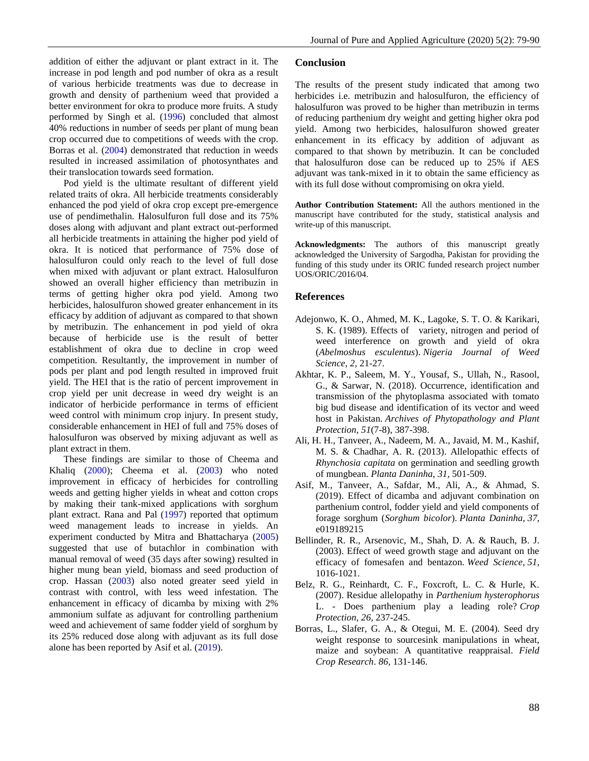addition of either the adjuvant or plant extract in it. The increase in pod length and pod number of okra as a result of various herbicide treatments was due to decrease in growth and density of parthenium weed that provided a better environment for okra to produce more fruits. A study performed by Singh et al. (1996) concluded that almost 40% reductions in number of seeds per plant of mung bean crop occurred due to competitions of weeds with the crop. Borras et al. (2004) demonstrated that reduction in weeds resulted in increased assimilation of photosynthates and their translocation towards seed formation.

 Pod yield is the ultimate resultant of different yield related traits of okra. All herbicide treatments considerably enhanced the pod yield of okra crop except pre-emergence use of pendimethalin. Halosulfuron full dose and its 75% doses along with adjuvant and plant extract out-performed all herbicide treatments in attaining the higher pod yield of okra. It is noticed that performance of 75% dose of halosulfuron could only reach to the level of full dose when mixed with adjuvant or plant extract. Halosulfuron showed an overall higher efficiency than metribuzin in terms of getting higher okra pod yield. Among two herbicides, halosulfuron showed greater enhancement in its efficacy by addition of adjuvant as compared to that shown by metribuzin. The enhancement in pod yield of okra because of herbicide use is the result of better establishment of okra due to decline in crop weed competition. Resultantly, the improvement in number of pods per plant and pod length resulted in improved fruit yield. The HEI that is the ratio of percent improvement in crop yield per unit decrease in weed dry weight is an indicator of herbicide performance in terms of efficient weed control with minimum crop injury. In present study, considerable enhancement in HEI of full and 75% doses of halosulfuron was observed by mixing adjuvant as well as plant extract in them.

 These findings are similar to those of Cheema and Khaliq (2000); Cheema et al. (2003) who noted improvement in efficacy of herbicides for controlling weeds and getting higher yields in wheat and cotton crops by making their tank-mixed applications with sorghum plant extract. Rana and Pal (1997) reported that optimum weed management leads to increase in yields. An experiment conducted by Mitra and Bhattacharya (2005) suggested that use of butachlor in combination with manual removal of weed (35 days after sowing) resulted in higher mung bean yield, biomass and seed production of crop. Hassan (2003) also noted greater seed yield in contrast with control, with less weed infestation. The enhancement in efficacy of dicamba by mixing with 2% ammonium sulfate as adjuvant for controlling parthenium weed and achievement of same fodder yield of sorghum by its 25% reduced dose along with adjuvant as its full dose alone has been reported by Asif et al. (2019).

#### **Conclusion**

The results of the present study indicated that among two herbicides i.e. metribuzin and halosulfuron, the efficiency of halosulfuron was proved to be higher than metribuzin in terms of reducing parthenium dry weight and getting higher okra pod yield. Among two herbicides, halosulfuron showed greater enhancement in its efficacy by addition of adjuvant as compared to that shown by metribuzin. It can be concluded that halosulfuron dose can be reduced up to 25% if AES adjuvant was tank-mixed in it to obtain the same efficiency as with its full dose without compromising on okra yield.

**Author Contribution Statement:** All the authors mentioned in the manuscript have contributed for the study, statistical analysis and write-up of this manuscript.

**Acknowledgments:** The authors of this manuscript greatly acknowledged the University of Sargodha, Pakistan for providing the funding of this study under its ORIC funded research project number UOS/ORIC/2016/04.

### **References**

- Adejonwo, K. O., Ahmed, M. K., Lagoke, S. T. O. & Karikari, S. K. (1989). Effects of variety, nitrogen and period of weed interference on growth and yield of okra (*Abelmoshus esculentus*). *Nigeria Journal of Weed Science, 2,* 21-27.
- Akhtar, K. P., Saleem, M. Y., Yousaf, S., Ullah, N., Rasool, G., & Sarwar, N. (2018). Occurrence, identification and transmission of the phytoplasma associated with tomato big bud disease and identification of its vector and weed host in Pakistan. *Archives of Phytopathology and Plant Protection*, *51*(7-8), 387-398.
- Ali, H. H., Tanveer, A., Nadeem, M. A., Javaid, M. M., Kashif, M. S. & Chadhar, A. R. (2013). Allelopathic effects of *Rhynchosia capitata* on germination and seedling growth of mungbean. *Planta Daninha*, *31,* 501-509.
- Asif, M., Tanveer, A., Safdar, M., Ali, A., & Ahmad, S. (2019). Effect of dicamba and adjuvant combination on parthenium control, fodder yield and yield components of forage sorghum (*Sorghum bicolor*). *Planta Daninha*, *37*, e019189215
- Bellinder, R. R., Arsenovic, M., Shah, D. A. & Rauch, B. J. (2003). Effect of weed growth stage and adjuvant on the efficacy of fomesafen and bentazon. *Weed Science*, *51*, 1016-1021.
- Belz, R. G., Reinhardt, C. F., Foxcroft, L. C. & Hurle, K. (2007). Residue allelopathy in *Parthenium hysterophorus* L. - Does parthenium play a leading role? *Crop Protection*, *26,* 237-245.
- Borras, L., Slafer, G. A., & Otegui, M. E. (2004). Seed dry weight response to sourcesink manipulations in wheat, maize and soybean: A quantitative reappraisal. *Field Crop Research*. *86,* 131-146.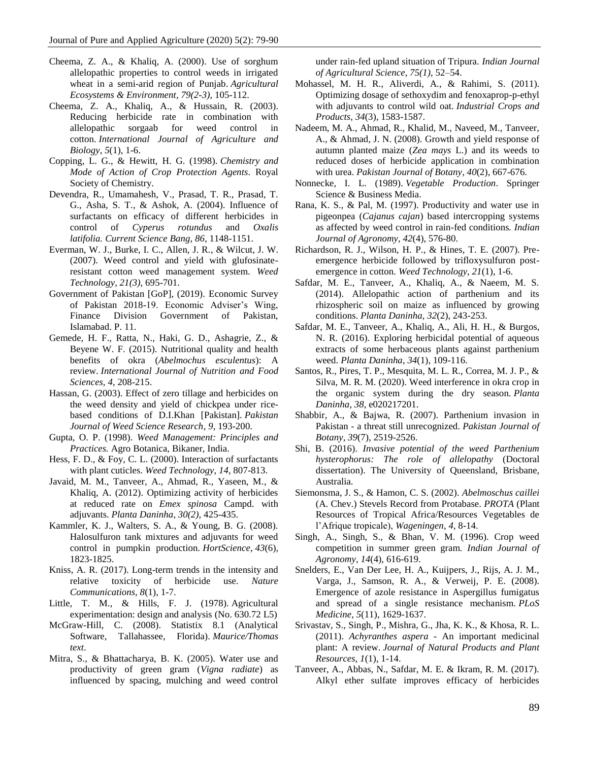- Cheema, Z. A., & Khaliq, A. (2000). Use of sorghum allelopathic properties to control weeds in irrigated wheat in a semi-arid region of Punjab. *Agricultural Ecosystems & Environment, 79(2-3)*, 105-112.
- Cheema, Z. A., Khaliq, A., & Hussain, R. (2003). Reducing herbicide rate in combination with allelopathic sorgaab for weed control in cotton. *International Journal of Agriculture and Biology*, *5*(1)*,* 1-6.
- Copping, L. G., & Hewitt, H. G. (1998). *Chemistry and Mode of Action of Crop Protection Agents*. Royal Society of Chemistry.
- Devendra, R., Umamahesh, V., Prasad, T. R., Prasad, T. G., Asha, S. T., & Ashok, A. (2004). Influence of surfactants on efficacy of different herbicides in control of *Cyperus rotundus* and *Oxalis latifolia. Current Science Bang*, *86,* 1148-1151.
- Everman, W. J., Burke, I. C., Allen, J. R., & Wilcut, J. W. (2007). Weed control and yield with glufosinateresistant cotton weed management system. *Weed Technology, 21(3),* 695-701.
- Government of Pakistan [GoP], (2019). Economic Survey of Pakistan 2018-19. Economic Adviser's Wing, Finance Division Government of Pakistan, Islamabad. P. 11.
- Gemede, H. F., Ratta, N., Haki, G. D., Ashagrie, Z., & Beyene W. F. (2015). Nutritional quality and health benefits of okra (*Abelmochus esculentus*): A review. *International Journal of Nutrition and Food Sciences*, *4*, 208-215.
- Hassan, G. (2003). Effect of zero tillage and herbicides on the weed density and yield of chickpea under ricebased conditions of D.I.Khan [Pakistan]. *Pakistan Journal of Weed Science Research*, *9,* 193-200.
- Gupta, O. P. (1998). *Weed Management: Principles and Practices.* Agro Botanica, Bikaner, India.
- Hess, F. D., & Foy, C. L. (2000). Interaction of surfactants with plant cuticles. *Weed Technology*, *14*, 807-813.
- Javaid, M. M., Tanveer, A., Ahmad, R., Yaseen, M., & Khaliq, A. (2012). Optimizing activity of herbicides at reduced rate on *Emex spinosa* Campd. with adjuvants. *Planta Daninha*, *30(2),* 425-435.
- Kammler, K. J., Walters, S. A., & Young, B. G. (2008). Halosulfuron tank mixtures and adjuvants for weed control in pumpkin production. *HortScience*, *43*(6), 1823-1825.
- Kniss, A. R. (2017). Long-term trends in the intensity and relative toxicity of herbicide use. *Nature Communications, 8*(1), 1-7.
- Little, T. M., & Hills, F. J. (1978). Agricultural experimentation: design and analysis (No. 630.72 L5)
- McGraw-Hill, C. (2008). Statistix 8.1 (Analytical Software, Tallahassee, Florida). *Maurice/Thomas text*.
- Mitra, S., & Bhattacharya, B. K. (2005). Water use and productivity of green gram (*Vigna radiate*) as influenced by spacing, mulching and weed control

under rain-fed upland situation of Tripura. *Indian Journal of Agricultural Science*, *75(1)*, 52–54.

- Mohassel, M. H. R., Aliverdi, A., & Rahimi, S. (2011). Optimizing dosage of sethoxydim and fenoxaprop-p-ethyl with adjuvants to control wild oat. *Industrial Crops and Products*, *34*(3), 1583-1587.
- Nadeem, M. A., Ahmad, R., Khalid, M., Naveed, M., Tanveer, A., & Ahmad, J. N. (2008). Growth and yield response of autumn planted maize (*Zea mays* L.) and its weeds to reduced doses of herbicide application in combination with urea. *Pakistan Journal of Botany*, *40*(2), 667-676.
- Nonnecke, I. L. (1989). *Vegetable Production*. Springer Science & Business Media.
- Rana, K. S., & Pal, M. (1997). Productivity and water use in pigeonpea (*Cajanus cajan*) based intercropping systems as affected by weed control in rain-fed conditions*. Indian Journal of Agronomy*, *42*(4), 576-80.
- Richardson, R. J., Wilson, H. P., & Hines, T. E. (2007). Preemergence herbicide followed by trifloxysulfuron postemergence in cotton. *Weed Technology, 21*(1), 1-6.
- Safdar, M. E., Tanveer, A., Khaliq, A., & Naeem, M. S. (2014). Allelopathic action of parthenium and its rhizospheric soil on maize as influenced by growing conditions. *Planta Daninha*, *32*(2), 243-253.
- Safdar, M. E., Tanveer, A., Khaliq, A., Ali, H. H., & Burgos, N. R. (2016). Exploring herbicidal potential of aqueous extracts of some herbaceous plants against parthenium weed. *Planta Daninha*, *34*(1), 109-116.
- Santos, R., Pires, T. P., Mesquita, M. L. R., Correa, M. J. P., & Silva, M. R. M. (2020). Weed interference in okra crop in the organic system during the dry season. *Planta Daninha*, *38*, e020217201.
- Shabbir, A., & Bajwa, R. (2007). Parthenium invasion in Pakistan - a threat still unrecognized. *Pakistan Journal of Botany*, *39*(7), 2519-2526.
- Shi, B. (2016). *Invasive potential of the weed Parthenium hysterophorus: The role of allelopathy* (Doctoral dissertation). The University of Queensland, Brisbane, Australia.
- Siemonsma, J. S., & Hamon, C. S. (2002). *Abelmoschus caillei* (A. Chev.) Stevels Record from Protabase. *PROTA* (Plant Resources of Tropical Africa/Resources Vegetables de l'Afrique tropicale), *Wageningen*, *4,* 8-14.
- Singh, A., Singh, S., & Bhan, V. M. (1996). Crop weed competition in summer green gram. *Indian Journal of Agronomy*, *14*(4), 616-619.
- Snelders, E., Van Der Lee, H. A., Kuijpers, J., Rijs, A. J. M., Varga, J., Samson, R. A., & Verweij, P. E. (2008). Emergence of azole resistance in Aspergillus fumigatus and spread of a single resistance mechanism. *PLoS Medicine, 5*(11), 1629-1637.
- Srivastav, S., Singh, P., Mishra, G., Jha, K. K., & Khosa, R. L. (2011). *Achyranthes aspera* - An important medicinal plant: A review. *Journal of Natural Products and Plant Resources*, *1*(1), 1-14.
- Tanveer, A., Abbas, N., Safdar, M. E. & Ikram, R. M. (2017). Alkyl ether sulfate improves efficacy of herbicides